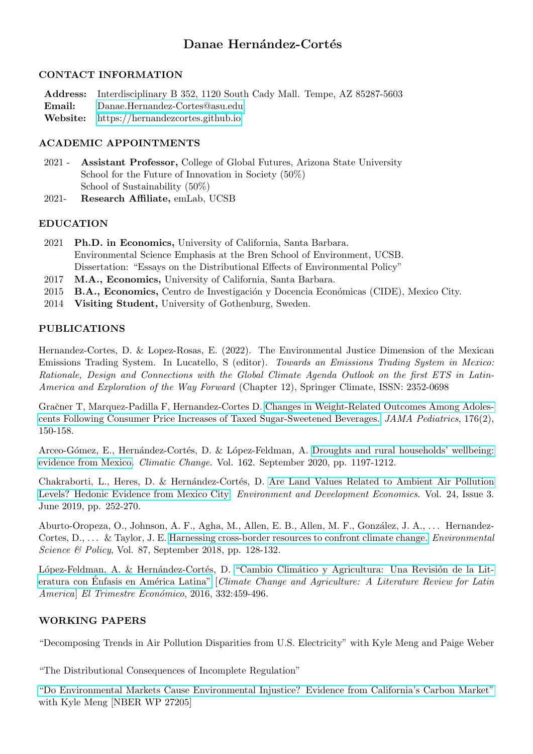# Danae Hernández-Cortés

## CONTACT INFORMATION

Address: Interdisciplinary B 352, 1120 South Cady Mall. Tempe, AZ 85287-5603 Email: <Danae.Hernandez-Cortes@asu.edu> Website: [https://hernandezcortes.github.io](hernandezcortes.github.io)

# ACADEMIC APPOINTMENTS

- 2021 Assistant Professor, College of Global Futures, Arizona State University School for the Future of Innovation in Society (50%) School of Sustainability (50%)
- 2021- Research Affiliate, emLab, UCSB

## EDUCATION

- 2021 Ph.D. in Economics, University of California, Santa Barbara. Environmental Science Emphasis at the Bren School of Environment, UCSB. Dissertation: "Essays on the Distributional Effects of Environmental Policy"
- 2017 M.A., Economics, University of California, Santa Barbara.
- 2015 B.A., Economics, Centro de Investigación y Docencia Económicas (CIDE), Mexico City.
- 2014 Visiting Student, University of Gothenburg, Sweden.

# PUBLICATIONS

Hernandez-Cortes, D. & Lopez-Rosas, E. (2022). The Environmental Justice Dimension of the Mexican Emissions Trading System. In Lucatello, S (editor). Towards an Emissions Trading System in Mexico: Rationale, Design and Connections with the Global Climate Agenda Outlook on the first ETS in Latin-America and Exploration of the Way Forward (Chapter 12), Springer Climate, ISSN: 2352-0698

Gračner T, Marquez-Padilla F, Hernandez-Cortes D. [Changes in Weight-Related Outcomes Among Adoles](doi:10.1001/jamapediatrics.2021.5044)[cents Following Consumer Price Increases of Taxed Sugar-Sweetened Beverages.](doi:10.1001/jamapediatrics.2021.5044) JAMA Pediatrics, 176(2), 150-158.

Arceo-Gómez, E., Hernández-Cortés, D. & López-Feldman, A. [Droughts and rural households' wellbeing:](https://link.springer.com/article/10.1007/s10584-020-02869-1?wt_mc=Internal.Event.1.SEM.ArticleAuthorAssignedToIssue&utm_source=ArticleAuthorAssignedToIssue&utm_medium=email&utm_content=AA_en_06082018&ArticleAuthorAssignedToIssue_20201024) [evidence from Mexico.](https://link.springer.com/article/10.1007/s10584-020-02869-1?wt_mc=Internal.Event.1.SEM.ArticleAuthorAssignedToIssue&utm_source=ArticleAuthorAssignedToIssue&utm_medium=email&utm_content=AA_en_06082018&ArticleAuthorAssignedToIssue_20201024) Climatic Change. Vol. 162. September 2020, pp. 1197-1212.

Chakraborti, L., Heres, D. & Hernández-Cortés, D. [Are Land Values Related to Ambient Air Pollution](https://www.cambridge.org/core/journals/environment-and-development-economics/article/are-land-values-related-to-ambient-air-pollution-levels-hedonic-evidence-from-mexico-city/6BAABCE09BABACBC25D24DB902DB4AA3) [Levels? Hedonic Evidence from Mexico City.](https://www.cambridge.org/core/journals/environment-and-development-economics/article/are-land-values-related-to-ambient-air-pollution-levels-hedonic-evidence-from-mexico-city/6BAABCE09BABACBC25D24DB902DB4AA3) Environment and Development Economics. Vol. 24, Issue 3. June 2019, pp. 252-270.

Aburto-Oropeza, O., Johnson, A. F., Agha, M., Allen, E. B., Allen, M. F., González, J. A., ... Hernandez-Cortes, D., ... & Taylor, J. E. [Harnessing cross-border resources to confront climate change.](https://www.sciencedirect.com/science/article/pii/S1462901117310602?casa_token=q9t-lEcCexgAAAAA:kn-6w75SUVBFjxAwkgdXHieowAcWIXv1imvrVsNIfYSB1ft7RZ2MfnK7lVJDWZyQVF2DFfzxhJE) *Environmental* Science & Policy, Vol. 87, September 2018, pp. 128-132.

López-Feldman, A. & Hernández-Cortés, D. "Cambio Climático y Agricultura: Una Revisión de la Literatura con Enfasis en América Latina" [Climate Change and Agriculture: A Literature Review for Latin America] El Trimestre Económico, 2016, 332:459-496.

# WORKING PAPERS

"Decomposing Trends in Air Pollution Disparities from U.S. Electricity" with Kyle Meng and Paige Weber

"The Distributional Consequences of Incomplete Regulation"

["Do Environmental Markets Cause Environmental Injustice? Evidence from California's Carbon Market"](https://www.nber.org/papers/w27205) with Kyle Meng [NBER WP 27205]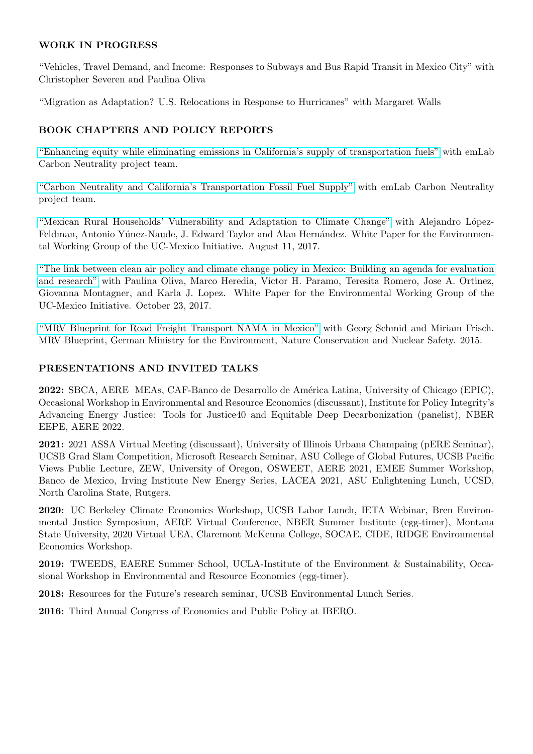## WORK IN PROGRESS

"Vehicles, Travel Demand, and Income: Responses to Subways and Bus Rapid Transit in Mexico City" with Christopher Severen and Paulina Oliva

"Migration as Adaptation? U.S. Relocations in Response to Hurricanes" with Margaret Walls

# BOOK CHAPTERS AND POLICY REPORTS

["Enhancing equity while eliminating emissions in California's supply of transportation fuels"](https://zenodo.org/record/4707966#.YIGrxOhKiUm) with emLab Carbon Neutrality project team.

["Carbon Neutrality and California's Transportation Fossil Fuel Supply"](https://emlab.ucsb.edu/projects/identifying-equitable-pathways-reach-carbon-neutrality-californias-transportation-sector) with emLab Carbon Neutrality project team.

["Mexican Rural Households' Vulnerability and Adaptation to Climate Change"](http://escholarship.org/uc/item/11p2k4v0) with Alejandro López-Feldman, Antonio Yúnez-Naude, J. Edward Taylor and Alan Hernández. White Paper for the Environmental Working Group of the UC-Mexico Initiative. August 11, 2017.

["The link between clean air policy and climate change policy in Mexico: Building an agenda for evaluation](https://escholarship.org/uc/item/4jb9f9tc) [and research"](https://escholarship.org/uc/item/4jb9f9tc) with Paulina Oliva, Marco Heredia, Victor H. Paramo, Teresita Romero, Jose A. Ortinez, Giovanna Montagner, and Karla J. Lopez. White Paper for the Environmental Working Group of the UC-Mexico Initiative. October 23, 2017.

["MRV Blueprint for Road Freight Transport NAMA in Mexico"](https://www.changing-transport.org/publication/mrv-blueprint-truck-scrapping/) with Georg Schmid and Miriam Frisch. MRV Blueprint, German Ministry for the Environment, Nature Conservation and Nuclear Safety. 2015.

# PRESENTATIONS AND INVITED TALKS

2022: SBCA, AERE MEAs, CAF-Banco de Desarrollo de Am´erica Latina, University of Chicago (EPIC), Occasional Workshop in Environmental and Resource Economics (discussant), Institute for Policy Integrity's Advancing Energy Justice: Tools for Justice40 and Equitable Deep Decarbonization (panelist), NBER EEPE, AERE 2022.

2021: 2021 ASSA Virtual Meeting (discussant), University of Illinois Urbana Champaing (pERE Seminar), UCSB Grad Slam Competition, Microsoft Research Seminar, ASU College of Global Futures, UCSB Pacific Views Public Lecture, ZEW, University of Oregon, OSWEET, AERE 2021, EMEE Summer Workshop, Banco de Mexico, Irving Institute New Energy Series, LACEA 2021, ASU Enlightening Lunch, UCSD, North Carolina State, Rutgers.

2020: UC Berkeley Climate Economics Workshop, UCSB Labor Lunch, IETA Webinar, Bren Environmental Justice Symposium, AERE Virtual Conference, NBER Summer Institute (egg-timer), Montana State University, 2020 Virtual UEA, Claremont McKenna College, SOCAE, CIDE, RIDGE Environmental Economics Workshop.

2019: TWEEDS, EAERE Summer School, UCLA-Institute of the Environment & Sustainability, Occasional Workshop in Environmental and Resource Economics (egg-timer).

2018: Resources for the Future's research seminar, UCSB Environmental Lunch Series.

2016: Third Annual Congress of Economics and Public Policy at IBERO.